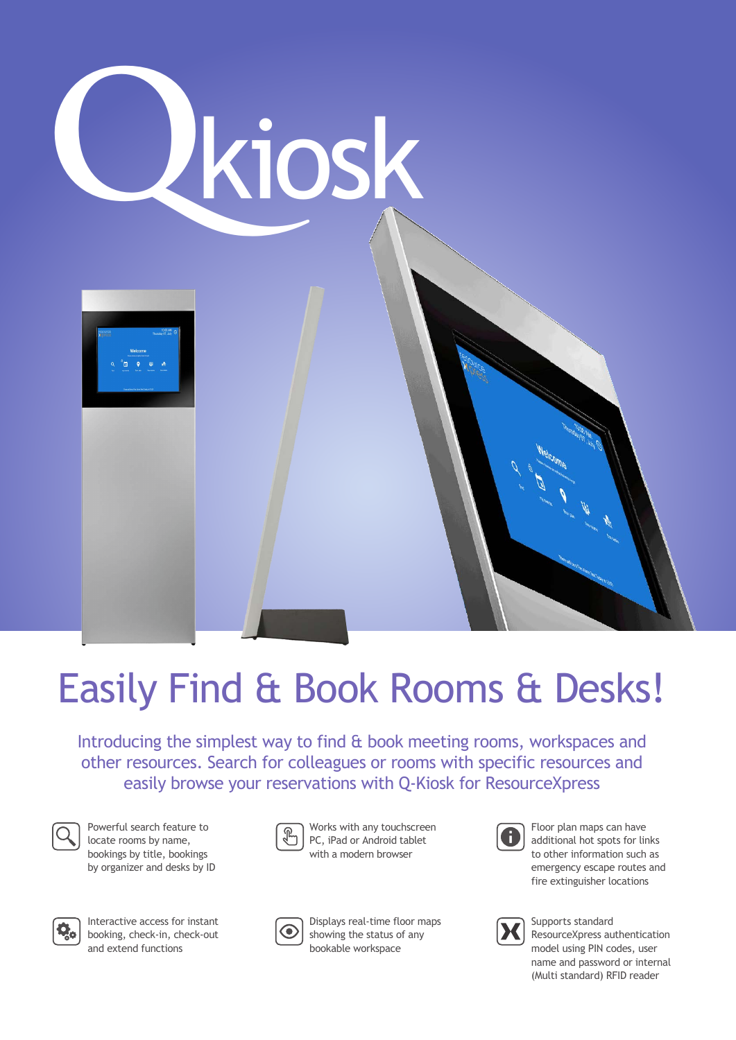

# Easily Find & Book Rooms & Desks!

Introducing the simplest way to find & book meeting rooms, workspaces and other resources. Search for colleagues or rooms with specific resources and easily browse your reservations with Q-Kiosk for ResourceXpress



Powerful search feature to locate rooms by name, bookings by title, bookings by organizer and desks by ID



Interactive access for instant booking, check-in, check-out and extend functions



Works with any touchscreen PC, iPad or Android tablet with a modern browser



Displays real-time floor maps showing the status of any bookable workspace



Floor plan maps can have additional hot spots for links to other information such as emergency escape routes and fire extinguisher locations



Supports standard ResourceXpress authentication model using PIN codes, user name and password or internal (Multi standard) RFID reader